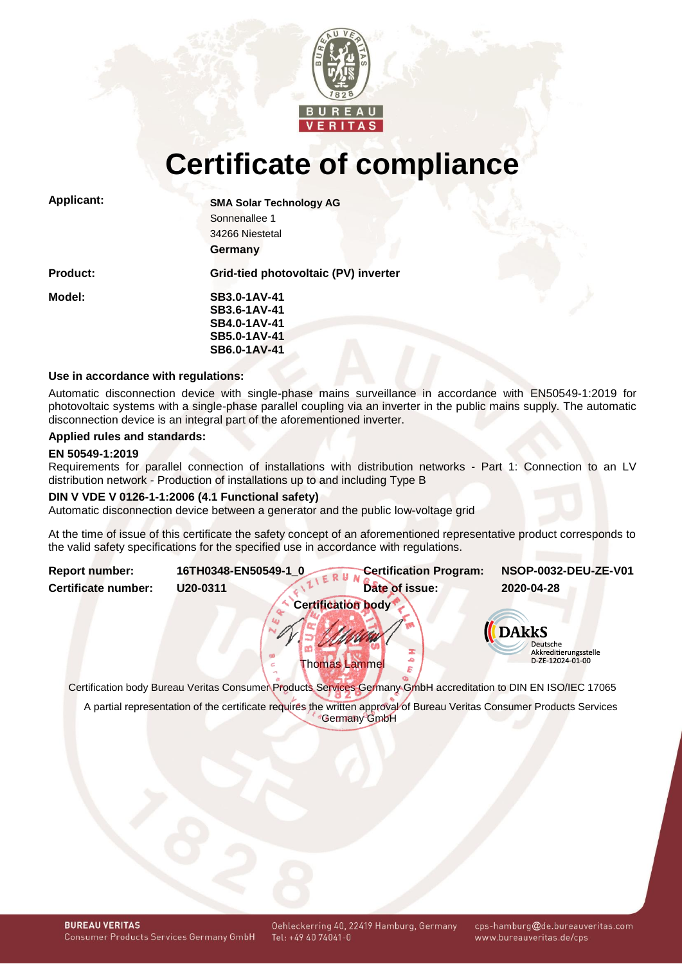

# **Certificate of compliance**

| <b>Applicant:</b> | <b>SMA Solar Technology AG</b>       |  |  |  |
|-------------------|--------------------------------------|--|--|--|
|                   | Sonnenallee 1                        |  |  |  |
|                   | 34266 Niestetal                      |  |  |  |
|                   | Germany                              |  |  |  |
| <b>Product:</b>   | Grid-tied photovoltaic (PV) inverter |  |  |  |
| Model:            | <b>SB3.0-1AV-41</b>                  |  |  |  |
|                   | SB3.6-1AV-41                         |  |  |  |
|                   | SB4.0-1AV-41                         |  |  |  |
|                   | SB5.0-1AV-41                         |  |  |  |
|                   | SB6.0-1AV-41                         |  |  |  |
|                   |                                      |  |  |  |

# **Use in accordance with regulations:**

Automatic disconnection device with single-phase mains surveillance in accordance with EN50549-1:2019 for photovoltaic systems with a single-phase parallel coupling via an inverter in the public mains supply. The automatic disconnection device is an integral part of the aforementioned inverter.

#### **Applied rules and standards:**

#### **EN 50549-1:2019**

Requirements for parallel connection of installations with distribution networks - Part 1: Connection to an LV distribution network - Production of installations up to and including Type B

#### **DIN V VDE V 0126-1-1:2006 (4.1 Functional safety)**

Automatic disconnection device between a generator and the public low-voltage grid

<span id="page-0-1"></span>At the time of issue of this certificate the safety concept of an aforementioned representative product corresponds to the valid safety specifications for the specified use in accordance with regulations.

<span id="page-0-0"></span>

Certification body Bureau Veritas Consumer Products Services Germany GmbH accreditation to DIN EN ISO/IEC 17065

A partial representation of the certificate requires the written approval of Bureau Veritas Consumer Products Services Germany GmbH

cps-hamburg@de.bureauveritas.com www.bureauveritas.de/cps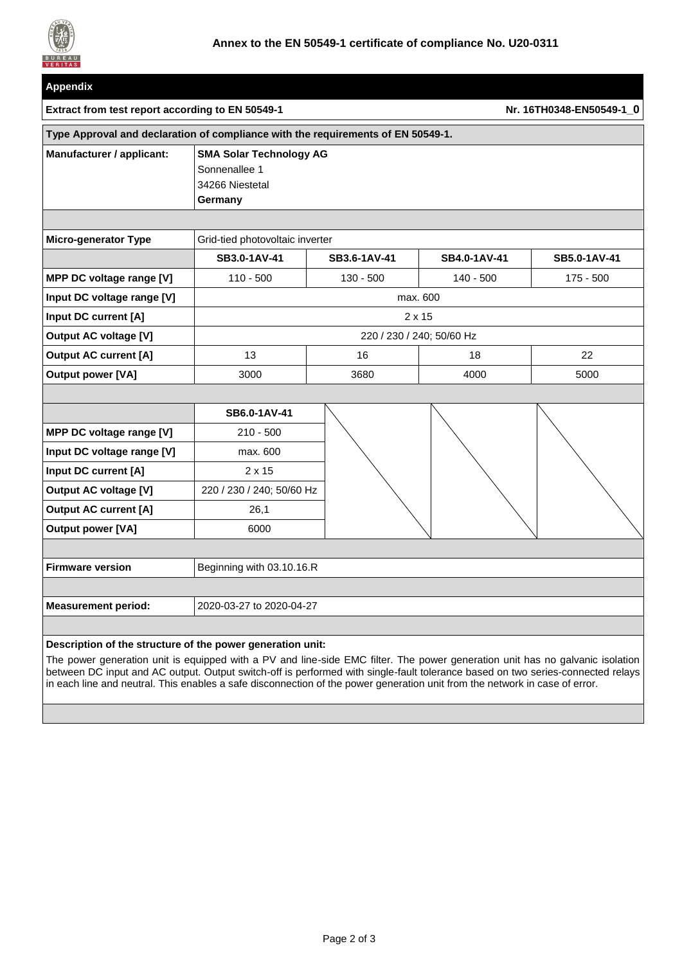

| Appendix                                                                         |                                                                               |                          |              |              |  |  |  |
|----------------------------------------------------------------------------------|-------------------------------------------------------------------------------|--------------------------|--------------|--------------|--|--|--|
| Extract from test report according to EN 50549-1                                 |                                                                               | Nr. 16TH0348-EN50549-1 0 |              |              |  |  |  |
| Type Approval and declaration of compliance with the requirements of EN 50549-1. |                                                                               |                          |              |              |  |  |  |
| Manufacturer / applicant:                                                        | <b>SMA Solar Technology AG</b><br>Sonnenallee 1<br>34266 Niestetal<br>Germany |                          |              |              |  |  |  |
|                                                                                  |                                                                               |                          |              |              |  |  |  |
| <b>Micro-generator Type</b>                                                      | Grid-tied photovoltaic inverter                                               |                          |              |              |  |  |  |
|                                                                                  | SB3.0-1AV-41                                                                  | SB3.6-1AV-41             | SB4.0-1AV-41 | SB5.0-1AV-41 |  |  |  |
| MPP DC voltage range [V]                                                         | $110 - 500$                                                                   | $130 - 500$              | $140 - 500$  | $175 - 500$  |  |  |  |
| Input DC voltage range [V]                                                       | max. 600                                                                      |                          |              |              |  |  |  |
| Input DC current [A]                                                             | $2 \times 15$                                                                 |                          |              |              |  |  |  |
| <b>Output AC voltage [V]</b>                                                     | 220 / 230 / 240; 50/60 Hz                                                     |                          |              |              |  |  |  |
| <b>Output AC current [A]</b>                                                     | 13                                                                            | 16                       | 18           | 22           |  |  |  |
| <b>Output power [VA]</b>                                                         | 3000                                                                          | 3680                     | 4000         | 5000         |  |  |  |
|                                                                                  |                                                                               |                          |              |              |  |  |  |
|                                                                                  | SB6.0-1AV-41                                                                  |                          |              |              |  |  |  |
| MPP DC voltage range [V]                                                         | $210 - 500$                                                                   |                          |              |              |  |  |  |
| Input DC voltage range [V]                                                       | max. 600                                                                      |                          |              |              |  |  |  |
| Input DC current [A]                                                             | $2 \times 15$                                                                 |                          |              |              |  |  |  |
| <b>Output AC voltage [V]</b>                                                     | 220 / 230 / 240; 50/60 Hz                                                     |                          |              |              |  |  |  |
| <b>Output AC current [A]</b>                                                     | 26,1                                                                          |                          |              |              |  |  |  |
| <b>Output power [VA]</b>                                                         | 6000                                                                          |                          |              |              |  |  |  |
|                                                                                  |                                                                               |                          |              |              |  |  |  |
| <b>Firmware version</b>                                                          | Beginning with 03.10.16.R                                                     |                          |              |              |  |  |  |
|                                                                                  |                                                                               |                          |              |              |  |  |  |
| <b>Measurement period:</b>                                                       | 2020-03-27 to 2020-04-27                                                      |                          |              |              |  |  |  |
|                                                                                  |                                                                               |                          |              |              |  |  |  |
| Description of the structure of the power generation unit:                       |                                                                               |                          |              |              |  |  |  |

The power generation unit is equipped with a PV and line-side EMC filter. The power generation unit has no galvanic isolation between DC input and AC output. Output switch-off is performed with single-fault tolerance based on two series-connected relays in each line and neutral. This enables a safe disconnection of the power generation unit from the network in case of error.